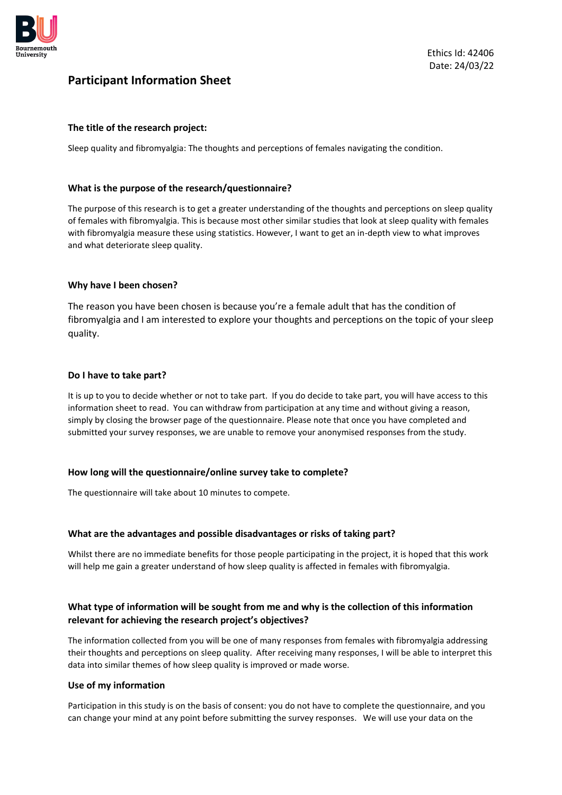

# **Participant Information Sheet**

## **The title of the research project:**

Sleep quality and fibromyalgia: The thoughts and perceptions of females navigating the condition.

#### **What is the purpose of the research/questionnaire?**

The purpose of this research is to get a greater understanding of the thoughts and perceptions on sleep quality of females with fibromyalgia. This is because most other similar studies that look at sleep quality with females with fibromyalgia measure these using statistics. However, I want to get an in-depth view to what improves and what deteriorate sleep quality.

#### **Why have I been chosen?**

The reason you have been chosen is because you're a female adult that has the condition of fibromyalgia and I am interested to explore your thoughts and perceptions on the topic of your sleep quality.

### **Do I have to take part?**

It is up to you to decide whether or not to take part. If you do decide to take part, you will have access to this information sheet to read. You can withdraw from participation at any time and without giving a reason, simply by closing the browser page of the questionnaire. Please note that once you have completed and submitted your survey responses, we are unable to remove your anonymised responses from the study.

#### **How long will the questionnaire/online survey take to complete?**

The questionnaire will take about 10 minutes to compete.

#### **What are the advantages and possible disadvantages or risks of taking part?**

Whilst there are no immediate benefits for those people participating in the project, it is hoped that this work will help me gain a greater understand of how sleep quality is affected in females with fibromyalgia.

# **What type of information will be sought from me and why is the collection of this information relevant for achieving the research project's objectives?**

The information collected from you will be one of many responses from females with fibromyalgia addressing their thoughts and perceptions on sleep quality. After receiving many responses, I will be able to interpret this data into similar themes of how sleep quality is improved or made worse.

#### **Use of my information**

Participation in this study is on the basis of consent: you do not have to complete the questionnaire, and you can change your mind at any point before submitting the survey responses. We will use your data on the